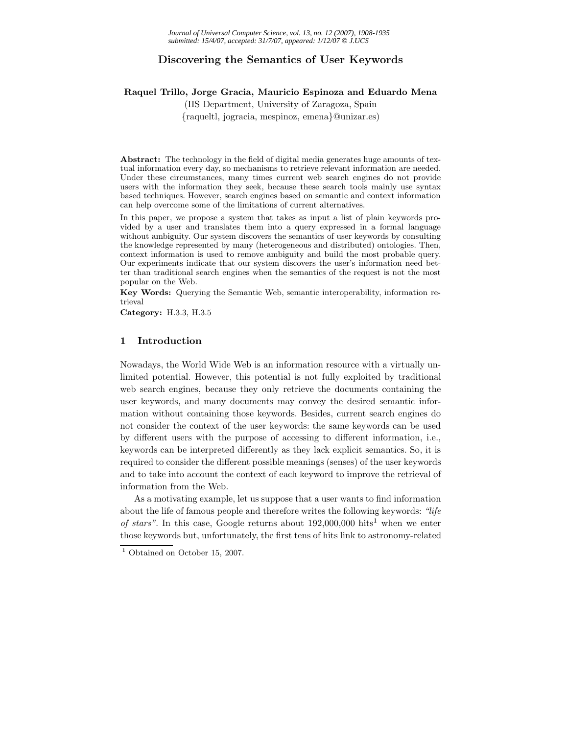## **Discovering the Semantics of User Keywords**

### **Raquel Trillo, Jorge Gracia, Mauricio Espinoza and Eduardo Mena**

(IIS Department, University of Zaragoza, Spain {raqueltl, jogracia, mespinoz, emena}@unizar.es)

**Abstract:** The technology in the field of digital media generates huge amounts of textual information every day, so mechanisms to retrieve relevant information are needed. Under these circumstances, many times current web search engines do not provide users with the information they seek, because these search tools mainly use syntax based techniques. However, search engines based on semantic and context information can help overcome some of the limitations of current alternatives.

In this paper, we propose a system that takes as input a list of plain keywords provided by a user and translates them into a query expressed in a formal language without ambiguity. Our system discovers the semantics of user keywords by consulting the knowledge represented by many (heterogeneous and distributed) ontologies. Then, context information is used to remove ambiguity and build the most probable query. Our experiments indicate that our system discovers the user's information need better than traditional search engines when the semantics of the request is not the most popular on the Web.

**Key Words:** Querying the Semantic Web, semantic interoperability, information retrieval

**Category:** H.3.3, H.3.5

## **1 Introduction**

Nowadays, the World Wide Web is an information resource with a virtually unlimited potential. However, this potential is not fully exploited by traditional web search engines, because they only retrieve the documents containing the user keywords, and many documents may convey the desired semantic information without containing those keywords. Besides, current search engines do not consider the context of the user keywords: the same keywords can be used by different users with the purpose of accessing to different information, i.e., keywords can be interpreted differently as they lack explicit semantics. So, it is required to consider the different possible meanings (senses) of the user keywords and to take into account the context of each keyword to improve the retrieval of information from the Web.

As a motivating example, let us suppose that a user wants to find information about the life of famous people and therefore writes the following keywords: *"life of stars"*. In this case, Google returns about  $192,000,000$  hits<sup>1</sup> when we enter those keywords but, unfortunately, the first tens of hits link to astronomy-related

 $<sup>1</sup>$  Obtained on October 15, 2007.</sup>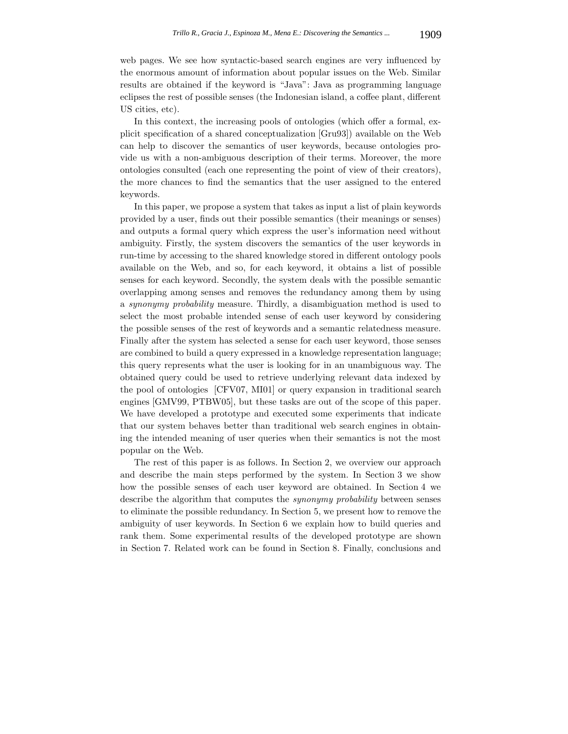web pages. We see how syntactic-based search engines are very influenced by the enormous amount of information about popular issues on the Web. Similar results are obtained if the keyword is "Java": Java as programming language eclipses the rest of possible senses (the Indonesian island, a coffee plant, different US cities, etc).

In this context, the increasing pools of ontologies (which offer a formal, explicit specification of a shared conceptualization [Gru93]) available on the Web can help to discover the semantics of user keywords, because ontologies provide us with a non-ambiguous description of their terms. Moreover, the more ontologies consulted (each one representing the point of view of their creators), the more chances to find the semantics that the user assigned to the entered keywords.

In this paper, we propose a system that takes as input a list of plain keywords provided by a user, finds out their possible semantics (their meanings or senses) and outputs a formal query which express the user's information need without ambiguity. Firstly, the system discovers the semantics of the user keywords in run-time by accessing to the shared knowledge stored in different ontology pools available on the Web, and so, for each keyword, it obtains a list of possible senses for each keyword. Secondly, the system deals with the possible semantic overlapping among senses and removes the redundancy among them by using a *synonymy probability* measure. Thirdly, a disambiguation method is used to select the most probable intended sense of each user keyword by considering the possible senses of the rest of keywords and a semantic relatedness measure. Finally after the system has selected a sense for each user keyword, those senses are combined to build a query expressed in a knowledge representation language; this query represents what the user is looking for in an unambiguous way. The obtained query could be used to retrieve underlying relevant data indexed by the pool of ontologies [CFV07, MI01] or query expansion in traditional search engines [GMV99, PTBW05], but these tasks are out of the scope of this paper. We have developed a prototype and executed some experiments that indicate that our system behaves better than traditional web search engines in obtaining the intended meaning of user queries when their semantics is not the most popular on the Web.

The rest of this paper is as follows. In Section 2, we overview our approach and describe the main steps performed by the system. In Section 3 we show how the possible senses of each user keyword are obtained. In Section 4 we describe the algorithm that computes the *synonymy probability* between senses to eliminate the possible redundancy. In Section 5, we present how to remove the ambiguity of user keywords. In Section 6 we explain how to build queries and rank them. Some experimental results of the developed prototype are shown in Section 7. Related work can be found in Section 8. Finally, conclusions and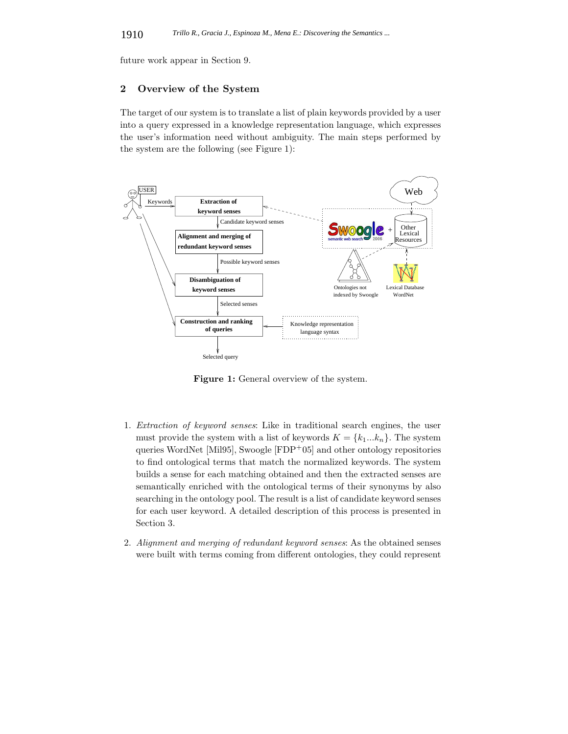future work appear in Section 9.

## **2 Overview of the System**

The target of our system is to translate a list of plain keywords provided by a user into a query expressed in a knowledge representation language, which expresses the user's information need without ambiguity. The main steps performed by the system are the following (see Figure 1):



**Figure 1:** General overview of the system.

- 1. *Extraction of keyword senses*: Like in traditional search engines, the user must provide the system with a list of keywords  $K = \{k_1...k_n\}$ . The system queries WordNet [Mil95], Swoogle [FDP<sup>+</sup>05] and other ontology repositories to find ontological terms that match the normalized keywords. The system builds a sense for each matching obtained and then the extracted senses are semantically enriched with the ontological terms of their synonyms by also searching in the ontology pool. The result is a list of candidate keyword senses for each user keyword. A detailed description of this process is presented in Section 3.
- 2. *Alignment and merging of redundant keyword senses*: As the obtained senses were built with terms coming from different ontologies, they could represent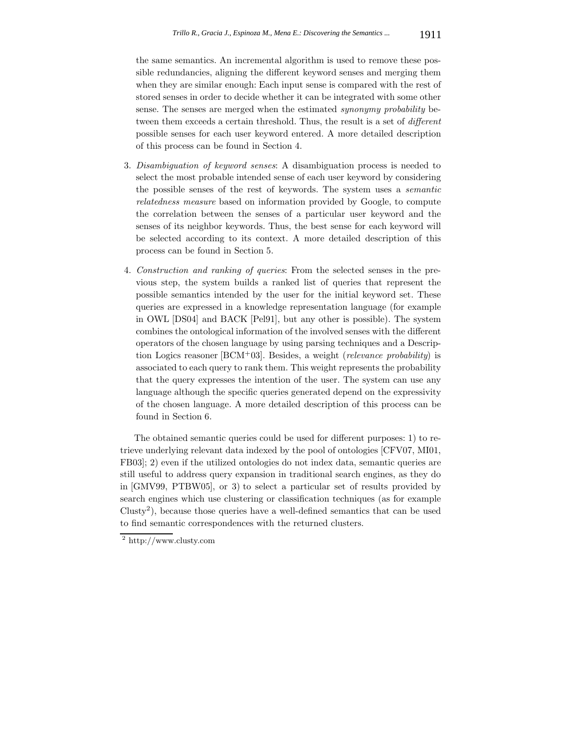the same semantics. An incremental algorithm is used to remove these possible redundancies, aligning the different keyword senses and merging them when they are similar enough: Each input sense is compared with the rest of stored senses in order to decide whether it can be integrated with some other sense. The senses are merged when the estimated *synonymy probability* between them exceeds a certain threshold. Thus, the result is a set of *different* possible senses for each user keyword entered. A more detailed description of this process can be found in Section 4.

- 3. *Disambiguation of keyword senses*: A disambiguation process is needed to select the most probable intended sense of each user keyword by considering the possible senses of the rest of keywords. The system uses a *semantic relatedness measure* based on information provided by Google, to compute the correlation between the senses of a particular user keyword and the senses of its neighbor keywords. Thus, the best sense for each keyword will be selected according to its context. A more detailed description of this process can be found in Section 5.
- 4. *Construction and ranking of queries*: From the selected senses in the previous step, the system builds a ranked list of queries that represent the possible semantics intended by the user for the initial keyword set. These queries are expressed in a knowledge representation language (for example in OWL [DS04] and BACK [Pel91], but any other is possible). The system combines the ontological information of the involved senses with the different operators of the chosen language by using parsing techniques and a Description Logics reasoner [BCM<sup>+</sup>03]. Besides, a weight (*relevance probability*) is associated to each query to rank them. This weight represents the probability that the query expresses the intention of the user. The system can use any language although the specific queries generated depend on the expressivity of the chosen language. A more detailed description of this process can be found in Section 6.

The obtained semantic queries could be used for different purposes: 1) to retrieve underlying relevant data indexed by the pool of ontologies [CFV07, MI01, FB03]; 2) even if the utilized ontologies do not index data, semantic queries are still useful to address query expansion in traditional search engines, as they do in [GMV99, PTBW05], or 3) to select a particular set of results provided by search engines which use clustering or classification techniques (as for example Clusty<sup>2</sup>), because those queries have a well-defined semantics that can be used to find semantic correspondences with the returned clusters.

 $\sqrt{2}$  http://www.clusty.com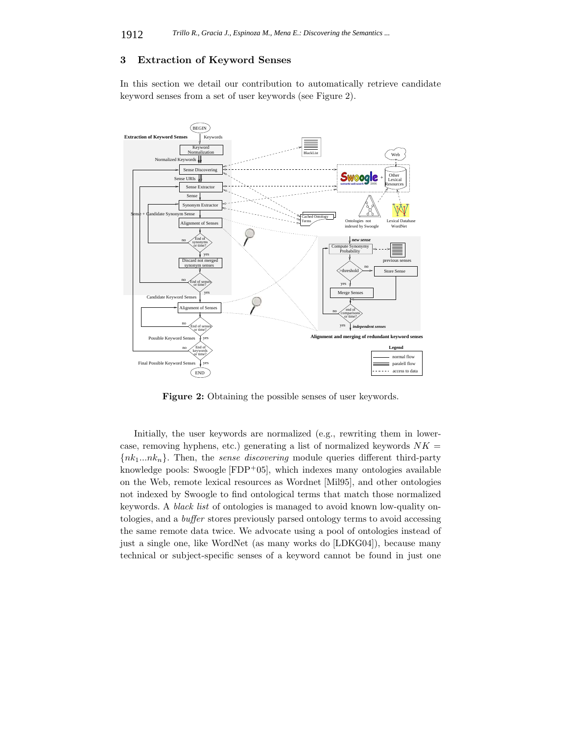# **3 Extraction of Keyword Senses**

In this section we detail our contribution to automatically retrieve candidate keyword senses from a set of user keywords (see Figure 2).



**Figure 2:** Obtaining the possible senses of user keywords.

Initially, the user keywords are normalized (e.g., rewriting them in lowercase, removing hyphens, etc.) generating a list of normalized keywords  $NK =$ {*nk*1*...nkn*}. Then, the *sense discovering* module queries different third-party knowledge pools: Swoogle [FDP+05], which indexes many ontologies available on the Web, remote lexical resources as Wordnet [Mil95], and other ontologies not indexed by Swoogle to find ontological terms that match those normalized keywords. A *black list* of ontologies is managed to avoid known low-quality ontologies, and a *buffer* stores previously parsed ontology terms to avoid accessing the same remote data twice. We advocate using a pool of ontologies instead of just a single one, like WordNet (as many works do [LDKG04]), because many technical or subject-specific senses of a keyword cannot be found in just one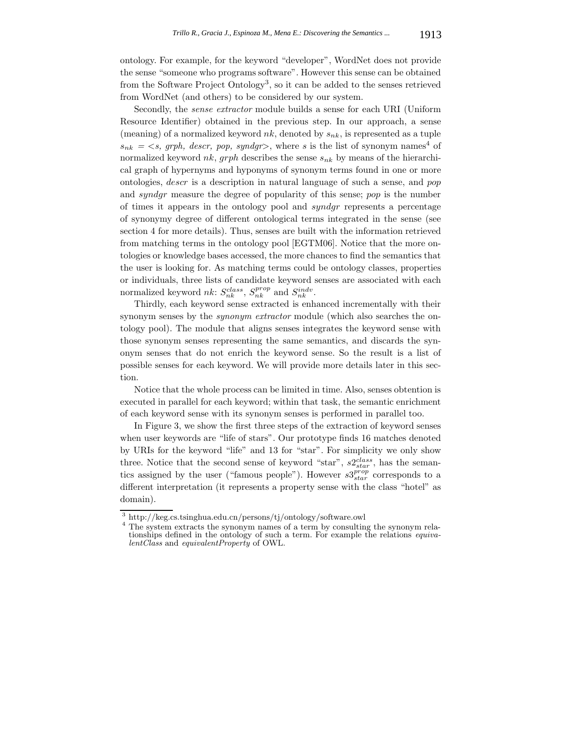ontology. For example, for the keyword "developer", WordNet does not provide the sense "someone who programs software". However this sense can be obtained from the Software Project Ontology<sup>3</sup>, so it can be added to the senses retrieved from WordNet (and others) to be considered by our system.

Secondly, the *sense extractor* module builds a sense for each URI (Uniform Resource Identifier) obtained in the previous step. In our approach, a sense (meaning) of a normalized keyword  $nk$ , denoted by  $s_{nk}$ , is represented as a tuple  $s_{nk} = \langle s, \text{ graph}, \text{ descri}, \text{ pop}, \text{ syndgr} \rangle$ , where *s* is the list of synonym names<sup>4</sup> of normalized keyword *nk*, *grph* describes the sense *snk* by means of the hierarchical graph of hypernyms and hyponyms of synonym terms found in one or more ontologies, *descr* is a description in natural language of such a sense, and *pop* and *syndgr* measure the degree of popularity of this sense; *pop* is the number of times it appears in the ontology pool and *syndgr* represents a percentage of synonymy degree of different ontological terms integrated in the sense (see section 4 for more details). Thus, senses are built with the information retrieved from matching terms in the ontology pool [EGTM06]. Notice that the more ontologies or knowledge bases accessed, the more chances to find the semantics that the user is looking for. As matching terms could be ontology classes, properties or individuals, three lists of candidate keyword senses are associated with each normalized keyword  $nk$ :  $S_{nk}^{class}$ ,  $S_{nk}^{prop}$  and  $S_{nk}^{indv}$ .

Thirdly, each keyword sense extracted is enhanced incrementally with their synonym senses by the *synonym extractor* module (which also searches the ontology pool). The module that aligns senses integrates the keyword sense with those synonym senses representing the same semantics, and discards the synonym senses that do not enrich the keyword sense. So the result is a list of possible senses for each keyword. We will provide more details later in this section.

Notice that the whole process can be limited in time. Also, senses obtention is executed in parallel for each keyword; within that task, the semantic enrichment of each keyword sense with its synonym senses is performed in parallel too.

In Figure 3, we show the first three steps of the extraction of keyword senses when user keywords are "life of stars". Our prototype finds 16 matches denoted by URIs for the keyword "life" and 13 for "star". For simplicity we only show three. Notice that the second sense of keyword "star",  $s2_{star}^{class}$ , has the semantics assigned by the user ("famous people"). However  $s3^{prop}_{star}$  corresponds to a different interpretation (it represents a property sense with the class "hotel" as domain).

 $^3$ http://keg.cs.tsinghua.edu.cn/persons/tj/ontology/software.owl $^4$  The system extracts the synonym names of a term by consulting the synonym relationships defined in the ontology of such a term. For example the relations *equivalentClass* and *equivalentProperty* of OWL.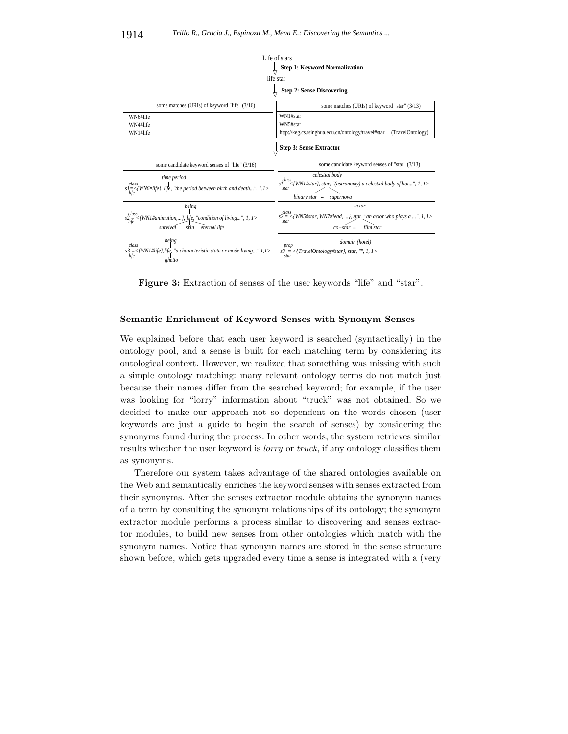

**Figure 3:** Extraction of senses of the user keywords "life" and "star".

### **Semantic Enrichment of Keyword Senses with Synonym Senses**

We explained before that each user keyword is searched (syntactically) in the ontology pool, and a sense is built for each matching term by considering its ontological context. However, we realized that something was missing with such a simple ontology matching: many relevant ontology terms do not match just because their names differ from the searched keyword; for example, if the user was looking for "lorry" information about "truck" was not obtained. So we decided to make our approach not so dependent on the words chosen (user keywords are just a guide to begin the search of senses) by considering the synonyms found during the process. In other words, the system retrieves similar results whether the user keyword is *lorry* or *truck*, if any ontology classifies them as synonyms.

Therefore our system takes advantage of the shared ontologies available on the Web and semantically enriches the keyword senses with senses extracted from their synonyms. After the senses extractor module obtains the synonym names of a term by consulting the synonym relationships of its ontology; the synonym extractor module performs a process similar to discovering and senses extractor modules, to build new senses from other ontologies which match with the synonym names. Notice that synonym names are stored in the sense structure shown before, which gets upgraded every time a sense is integrated with a (very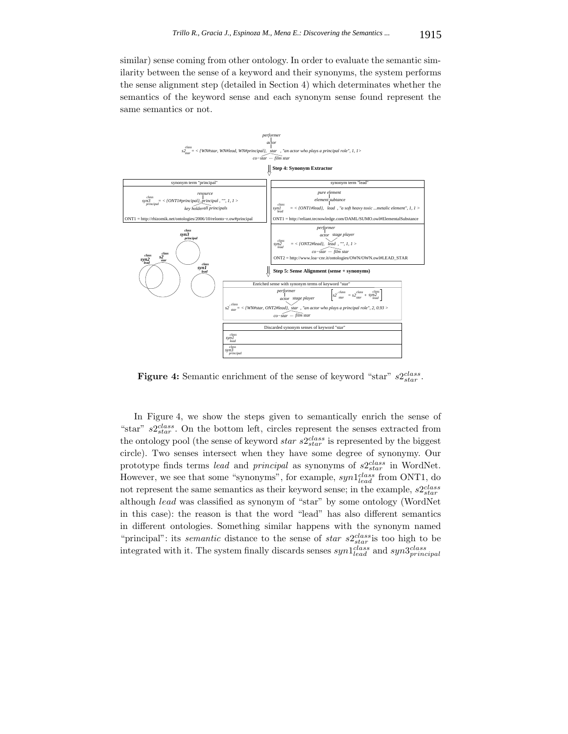similar) sense coming from other ontology. In order to evaluate the semantic similarity between the sense of a keyword and their synonyms, the system performs the sense alignment step (detailed in Section 4) which determinates whether the semantics of the keyword sense and each synonym sense found represent the same semantics or not.



**Figure 4:** Semantic enrichment of the sense of keyword "star" *s*2*class star* .

In Figure 4, we show the steps given to semantically enrich the sense of "star" *s*2*class star* . On the bottom left, circles represent the senses extracted from the ontology pool (the sense of keyword *star s*2*class star* is represented by the biggest circle). Two senses intersect when they have some degree of synonymy. Our prototype finds terms *lead* and *principal* as synonyms of *s*2*class star* in WordNet. However, we see that some "synonyms", for example, *syn*1*class lead* from ONT1, do not represent the same semantics as their keyword sense; in the example, *s*2*class star* although *lead* was classified as synonym of "star" by some ontology (WordNet in this case): the reason is that the word "lead" has also different semantics in different ontologies. Something similar happens with the synonym named "principal": its *semantic* distance to the sense of *star s*2*class star* is too high to be integrated with it. The system finally discards senses  $syn1_{lead}^{class}$  and  $syn3_{principal}^{class}$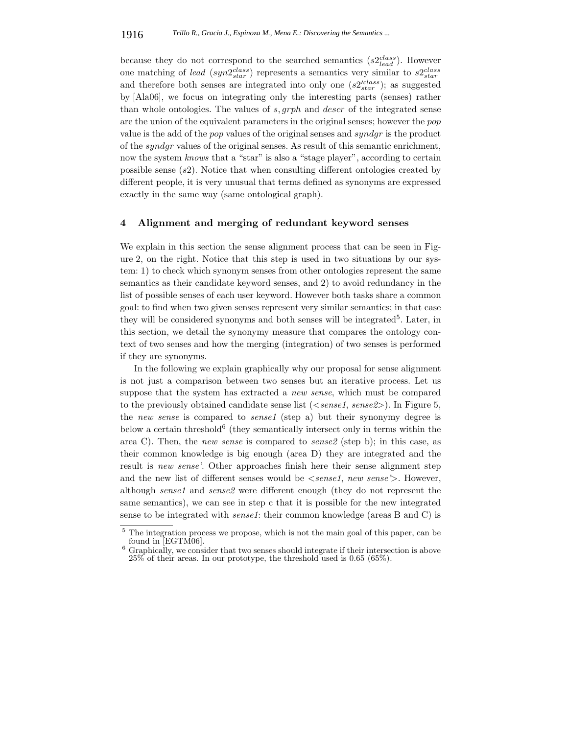because they do not correspond to the searched semantics (*s*2*class lead* ). However one matching of *lead* (*syn* $2_{star}^{class}$ ) represents a semantics very similar to  $s2_{star}^{class}$ and therefore both senses are integrated into only one  $(s2'_{star})$ ; as suggested by [Ala06], we focus on integrating only the interesting parts (senses) rather than whole ontologies. The values of *s, grph* and *descr* of the integrated sense are the union of the equivalent parameters in the original senses; however the *pop* value is the add of the *pop* values of the original senses and *syndgr* is the product of the *syndgr* values of the original senses. As result of this semantic enrichment, now the system *knows* that a "star" is also a "stage player", according to certain possible sense (*s*2). Notice that when consulting different ontologies created by different people, it is very unusual that terms defined as synonyms are expressed exactly in the same way (same ontological graph).

## **4 Alignment and merging of redundant keyword senses**

We explain in this section the sense alignment process that can be seen in Figure 2, on the right. Notice that this step is used in two situations by our system: 1) to check which synonym senses from other ontologies represent the same semantics as their candidate keyword senses, and 2) to avoid redundancy in the list of possible senses of each user keyword. However both tasks share a common goal: to find when two given senses represent very similar semantics; in that case they will be considered synonyms and both senses will be integrated<sup>5</sup>. Later, in this section, we detail the synonymy measure that compares the ontology context of two senses and how the merging (integration) of two senses is performed if they are synonyms.

In the following we explain graphically why our proposal for sense alignment is not just a comparison between two senses but an iterative process. Let us suppose that the system has extracted a *new sense*, which must be compared to the previously obtained candidate sense list (*<sense1*, *sense2>*). In Figure 5, the *new sense* is compared to *sense1* (step a) but their synonymy degree is below a certain threshold $6$  (they semantically intersect only in terms within the area C). Then, the *new sense* is compared to *sense2* (step b); in this case, as their common knowledge is big enough (area D) they are integrated and the result is *new sense'*. Other approaches finish here their sense alignment step and the new list of different senses would be *<sense1*, *new sense'>*. However, although *sense1* and *sense2* were different enough (they do not represent the same semantics), we can see in step c that it is possible for the new integrated sense to be integrated with *sense1*: their common knowledge (areas B and C) is

 $5$  The integration process we propose, which is not the main goal of this paper, can be found in [EGTM06].

Graphically, we consider that two senses should integrate if their intersection is above 25% of their areas. In our prototype, the threshold used is 0.65 (65%).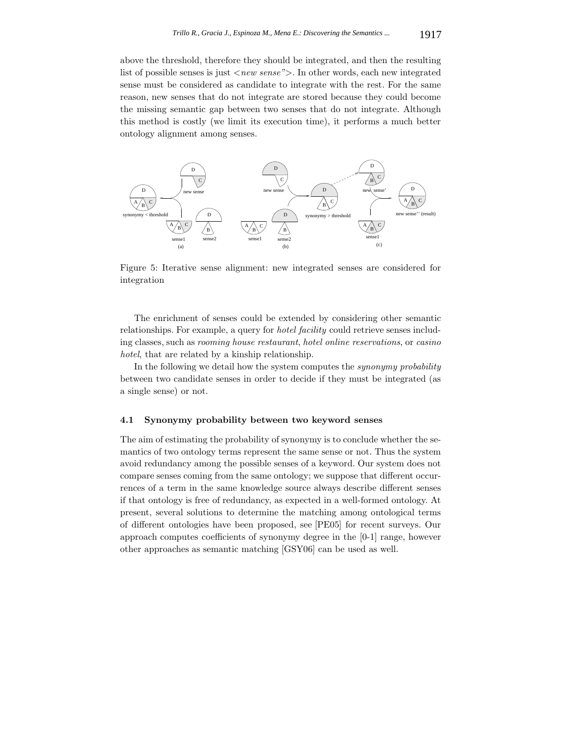above the threshold, therefore they should be integrated, and then the resulting list of possible senses is just *<new sense">*. In other words, each new integrated sense must be considered as candidate to integrate with the rest. For the same reason, new senses that do not integrate are stored because they could become the missing semantic gap between two senses that do not integrate. Although this method is costly (we limit its execution time), it performs a much better ontology alignment among senses.



Figure 5: Iterative sense alignment: new integrated senses are considered for integration

The enrichment of senses could be extended by considering other semantic relationships. For example, a query for *hotel facility* could retrieve senses including classes, such as *rooming house restaurant*, *hotel online reservations*, or *casino hotel*, that are related by a kinship relationship.

In the following we detail how the system computes the *synonymy probability* between two candidate senses in order to decide if they must be integrated (as a single sense) or not.

### **4.1 Synonymy probability between two keyword senses**

The aim of estimating the probability of synonymy is to conclude whether the semantics of two ontology terms represent the same sense or not. Thus the system avoid redundancy among the possible senses of a keyword. Our system does not compare senses coming from the same ontology; we suppose that different occurrences of a term in the same knowledge source always describe different senses if that ontology is free of redundancy, as expected in a well-formed ontology. At present, several solutions to determine the matching among ontological terms of different ontologies have been proposed, see [PE05] for recent surveys. Our approach computes coefficients of synonymy degree in the [0-1] range, however other approaches as semantic matching [GSY06] can be used as well.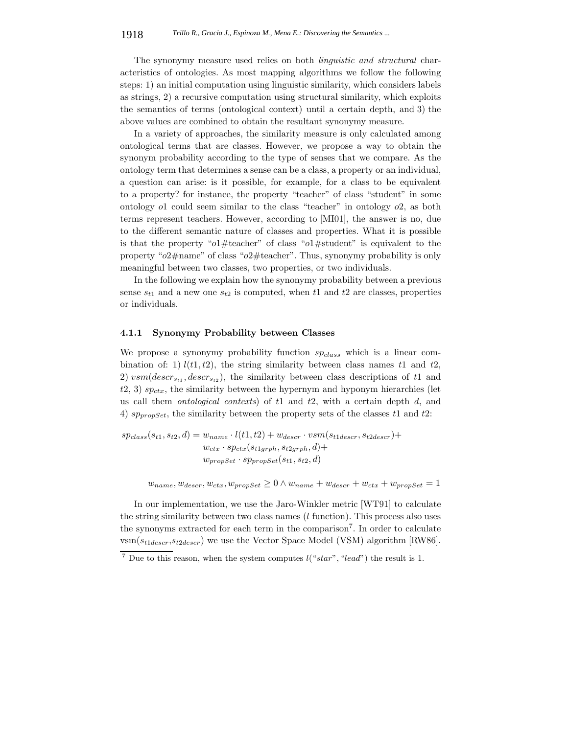The synonymy measure used relies on both *linguistic and structural* characteristics of ontologies. As most mapping algorithms we follow the following steps: 1) an initial computation using linguistic similarity, which considers labels as strings, 2) a recursive computation using structural similarity, which exploits the semantics of terms (ontological context) until a certain depth, and 3) the above values are combined to obtain the resultant synonymy measure.

In a variety of approaches, the similarity measure is only calculated among ontological terms that are classes. However, we propose a way to obtain the synonym probability according to the type of senses that we compare. As the ontology term that determines a sense can be a class, a property or an individual, a question can arise: is it possible, for example, for a class to be equivalent to a property? for instance, the property "teacher" of class "student" in some ontology *o*1 could seem similar to the class "teacher" in ontology *o*2, as both terms represent teachers. However, according to [MI01], the answer is no, due to the different semantic nature of classes and properties. What it is possible is that the property "*o*1#teacher" of class "*o*1#student" is equivalent to the property "*o*2#name" of class "*o*2#teacher". Thus, synonymy probability is only meaningful between two classes, two properties, or two individuals.

In the following we explain how the synonymy probability between a previous sense  $s_{t1}$  and a new one  $s_{t2}$  is computed, when  $t1$  and  $t2$  are classes, properties or individuals.

### **4.1.1 Synonymy Probability between Classes**

We propose a synonymy probability function *spclass* which is a linear combination of: 1)  $l(t1, t2)$ , the string similarity between class names  $t1$  and  $t2$ , 2)  $vsm(descr_{s_{t1}}, descr_{s_{t2}})$ , the similarity between class descriptions of t1 and  $t2, 3$ )  $sp_{ctx}$ , the similarity between the hypernym and hyponym hierarchies (let us call them *ontological contexts*) of *t*1 and *t*2, with a certain depth *d*, and 4) *sppropSet*, the similarity between the property sets of the classes *t*1 and *t*2:

 $sp_{class}(s_{t1}, s_{t2}, d) = w_{name} \cdot l(t1, t2) + w_{descr} \cdot vsm(s_{t1descr}, s_{t2descr}) +$  $w_{ctx} \cdot sp_{ctx}(s_{t1grph}, s_{t2grph}, d)$ +  $w_{propSet} \cdot sp_{propSet}(s_{t1}, s_{t2}, d)$ 

 $w_{name}, w_{descr}, w_{ctx}, w_{propSet} \geq 0 \land w_{name} + w_{descr} + w_{ctx} + w_{propSet} = 1$ 

In our implementation, we use the Jaro-Winkler metric [WT91] to calculate the string similarity between two class names (*l* function). This process also uses the synonyms extracted for each term in the comparison<sup>7</sup>. In order to calculate  $v \text{sm}(s_{t1descr}, s_{t2descr})$  we use the Vector Space Model (VSM) algorithm [RW86].

<sup>7</sup> Due to this reason, when the system computes *l*("*star*"*,* "*lead*") the result is 1.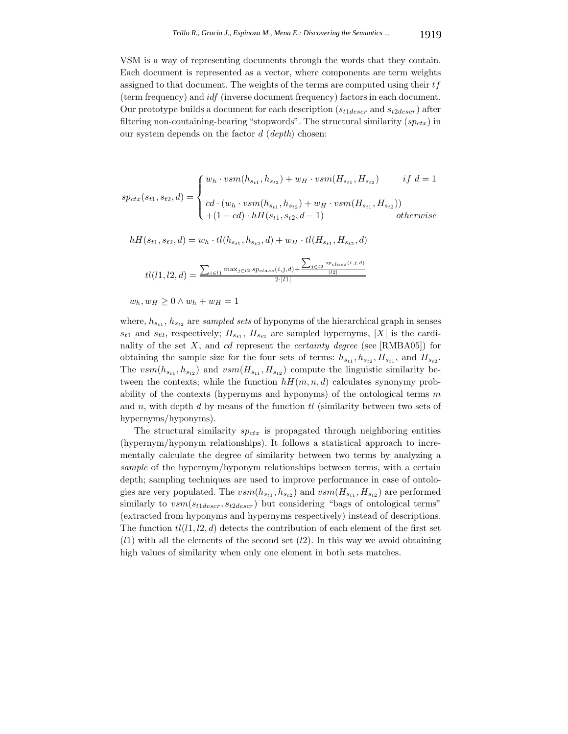VSM is a way of representing documents through the words that they contain. Each document is represented as a vector, where components are term weights assigned to that document. The weights of the terms are computed using their *tf* (term frequency) and *idf* (inverse document frequency) factors in each document. Our prototype builds a document for each description (*s<sup>t</sup>*1*descr* and *s<sup>t</sup>*2*descr*) after filtering non-containing-bearing "stopwords". The structural similarity (*spctx*) in our system depends on the factor *d* (*depth*) chosen:

$$
sp_{ctx}(s_{t1}, s_{t2}, d) = \begin{cases} w_h \cdot vsm(h_{s_{t1}}, h_{s_{t2}}) + w_H \cdot vsm(H_{s_{t1}}, H_{s_{t2}}) & \text{if } d = 1 \\ \cdots \\ cd \cdot (w_h \cdot vsm(h_{s_{t1}}, h_{s_{t2}}) + w_H \cdot vsm(H_{s_{t1}}, H_{s_{t2}})) \\ + (1 - cd) \cdot hH(s_{t1}, s_{t2}, d - 1) & \text{otherwise} \end{cases}
$$

 $hH(s_{t1}, s_{t2}, d) = w_h \cdot tl(h_{s_{t1}}, h_{s_{t2}}, d) + w_H \cdot tl(H_{s_{t1}}, H_{s_{t2}}, d)$ 

$$
tl(l1,l2,d) = \frac{\sum_{i \in l1} \max_{j \in l2} sp_{class}(i,j,d) + \frac{\sum_{j \in l2} sp_{class}(i,j,d)}{|l2|}}{2 \cdot |l1|}
$$

$$
w_h, w_H \ge 0 \wedge w_h + w_H = 1
$$

where,  $h_{s_{t1}}, h_{s_{t2}}$  are *sampled sets* of hyponyms of the hierarchical graph in senses  $s_{t1}$  and  $s_{t2}$ , respectively;  $H_{s_{t1}}$ ,  $H_{s_{t2}}$  are sampled hypernyms,  $|X|$  is the cardinality of the set *X*, and *cd* represent the *certainty degree* (see [RMBA05]) for obtaining the sample size for the four sets of terms:  $h_{s_{t1}}, h_{s_{t2}}, H_{s_{t1}},$  and  $H_{s_{t2}}$ . The  $vsm(h_{s_{t1}}, h_{s_{t2}})$  and  $vsm(H_{s_{t1}}, H_{s_{t2}})$  compute the linguistic similarity between the contexts; while the function  $hH(m, n, d)$  calculates synonymy probability of the contexts (hypernyms and hyponyms) of the ontological terms *m* and *n*, with depth *d* by means of the function *tl* (similarity between two sets of hypernyms/hyponyms).

The structural similarity *spctx* is propagated through neighboring entities (hypernym/hyponym relationships). It follows a statistical approach to incrementally calculate the degree of similarity between two terms by analyzing a *sample* of the hypernym/hyponym relationships between terms, with a certain depth; sampling techniques are used to improve performance in case of ontologies are very populated. The  $vsm(h_{s_{t1}}, h_{s_{t2}})$  and  $vsm(H_{s_{t1}}, H_{s_{t2}})$  are performed similarly to *vsm*(*s<sup>t</sup>*1*descr, s<sup>t</sup>*2*descr*) but considering "bags of ontological terms" (extracted from hyponyms and hypernyms respectively) instead of descriptions. The function  $tl(l1, l2, d)$  detects the contribution of each element of the first set (*l*1) with all the elements of the second set (*l*2). In this way we avoid obtaining high values of similarity when only one element in both sets matches.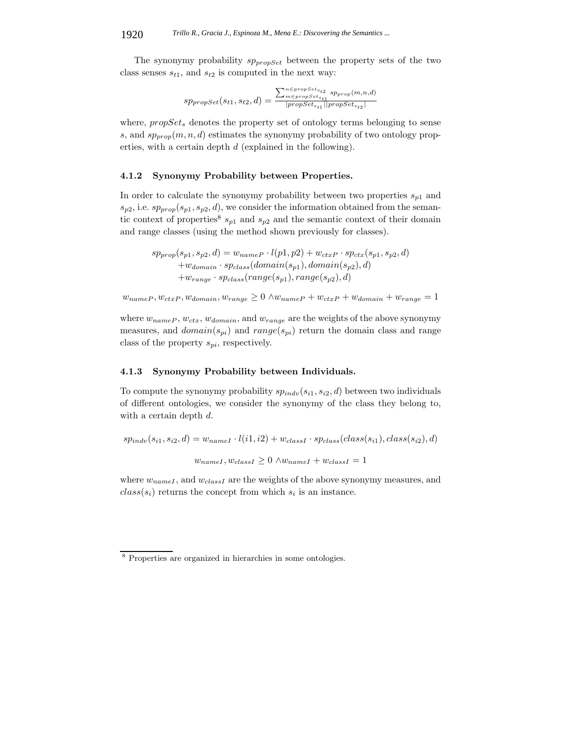The synonymy probability *sppropSet* between the property sets of the two class senses  $s_{t1}$ , and  $s_{t2}$  is computed in the next way:

$$
sp_{propSet}(s_{t1}, s_{t2}, d) = \frac{\sum_{m \in propSet_{st1}}^{n \in propSet_{st2}} sp_{prop}(m, n, d)}{\vert propSet_{st1} \vert \vert propSet_{st2} \vert}
$$

where, *propSet<sub>s</sub>* denotes the property set of ontology terms belonging to sense *s*, and  $sp_{prop}(m, n, d)$  estimates the synonymy probability of two ontology properties, with a certain depth *d* (explained in the following).

#### **4.1.2 Synonymy Probability between Properties.**

In order to calculate the synonymy probability between two properties *s<sup>p</sup>*<sup>1</sup> and  $s_{p2}$ , i.e.  $sp_{prop}(s_{p1}, s_{p2}, d)$ , we consider the information obtained from the semantic context of properties<sup>8</sup>  $s_{p1}$  and  $s_{p2}$  and the semantic context of their domain and range classes (using the method shown previously for classes).

 $s p_{prop}(s_{p1}, s_{p2}, d) = w_{nameP} \cdot l(p1, p2) + w_{ctxP} \cdot sp_{ctx}(s_{p1}, s_{p2}, d)$  $+w_{domain} \cdot sp_{class}(domain(s_{p1}), domain(s_{p2}), d)$  $+w_{range} \cdot sp_{class}(range(s_{p1}), range(s_{p2}), d)$ 

 $w_{nameP}, w_{ctxP}, w_{domain}, w_{range} \geq 0 \land w_{nameP} + w_{ctxP} + w_{domain} + w_{range} = 1$ 

where *wnameP* , *wctx*, *wdomain*, and *wrange* are the weights of the above synonymy measures, and  $domain(s_{pi})$  and  $range(s_{pi})$  return the domain class and range class of the property *spi*, respectively.

### **4.1.3 Synonymy Probability between Individuals.**

To compute the synonymy probability  $sp_{indv}(s_{i1}, s_{i2}, d)$  between two individuals of different ontologies, we consider the synonymy of the class they belong to, with a certain depth *d*.

$$
sp_{indv}(s_{i1}, s_{i2}, d) = w_{nameI} \cdot l(i1, i2) + w_{classI} \cdot sp_{class}(class(s_{i1}), class(s_{i2}), d)
$$

$$
w_{nameI}, w_{classI} \ge 0 \land w_{nameI} + w_{classI} = 1
$$

where  $w_{nameI}$ , and  $w_{classI}$  are the weights of the above synonymy measures, and  $class(s_i)$  returns the concept from which  $s_i$  is an instance.

<sup>8</sup> Properties are organized in hierarchies in some ontologies.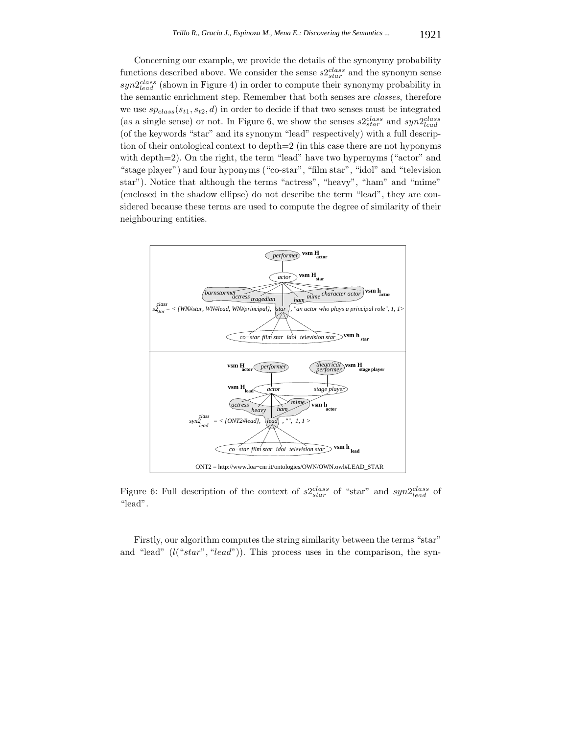Concerning our example, we provide the details of the synonymy probability functions described above. We consider the sense  $s2<sub>star</sub><sup>class</sup>$  and the synonym sense *syn*2*class lead* (shown in Figure 4) in order to compute their synonymy probability in the semantic enrichment step. Remember that both senses are *classes*, therefore we use  $sp_{class}(s_{t1}, s_{t2}, d)$  in order to decide if that two senses must be integrated (as a single sense) or not. In Figure 6, we show the senses  $s2_{star}^{class}$  and  $syn2_{lead}^{class}$ (of the keywords "star" and its synonym "lead" respectively) with a full description of their ontological context to depth=2 (in this case there are not hyponyms with depth=2). On the right, the term "lead" have two hypernyms ("actor" and "stage player") and four hyponyms ("co-star", "film star", "idol" and "television star"). Notice that although the terms "actress", "heavy", "ham" and "mime" (enclosed in the shadow ellipse) do not describe the term "lead", they are considered because these terms are used to compute the degree of similarity of their neighbouring entities.



Figure 6: Full description of the context of  $s2_{star}^{class}$  of "star" and  $syn2_{lead}^{class}$  of "lead".

Firstly, our algorithm computes the string similarity between the terms "star" and "lead" (*l*("*star*"*,* "*lead*")). This process uses in the comparison, the syn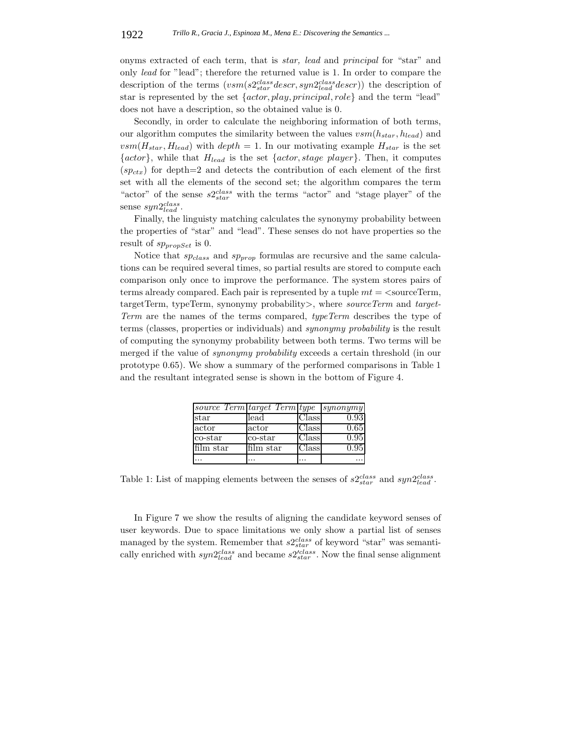onyms extracted of each term, that is *star, lead* and *principal* for "star" and only *lead* for "lead"; therefore the returned value is 1. In order to compare the description of the terms (*vsm*(*s*2*class star descr, syn*2*class lead descr*)) the description of star is represented by the set {*actor, play, principal, role*} and the term "lead" does not have a description, so the obtained value is 0.

Secondly, in order to calculate the neighboring information of both terms, our algorithm computes the similarity between the values *vsm*(*hstar, hlead*) and  $vsm(H_{star}, H_{lead})$  with  $depth = 1$ . In our motivating example  $H_{star}$  is the set {*actor*}, while that *Hlead* is the set {*actor, stage player*}. Then, it computes  $(sp_{ctx})$  for depth=2 and detects the contribution of each element of the first set with all the elements of the second set; the algorithm compares the term "actor" of the sense *s*2*class star* with the terms "actor" and "stage player" of the sense *syn*2*class lead* .

Finally, the linguisty matching calculates the synonymy probability between the properties of "star" and "lead". These senses do not have properties so the result of *sppropSet* is 0.

Notice that *spclass* and *spprop* formulas are recursive and the same calculations can be required several times, so partial results are stored to compute each comparison only once to improve the performance. The system stores pairs of terms already compared. Each pair is represented by a tuple *mt* = *<*sourceTerm, targetTerm, typeTerm, synonymy probability*>*, where *sourceTerm* and *target-Term* are the names of the terms compared, *typeTerm* describes the type of terms (classes, properties or individuals) and *synonymy probability* is the result of computing the synonymy probability between both terms. Two terms will be merged if the value of *synonymy probability* exceeds a certain threshold (in our prototype 0*.*65). We show a summary of the performed comparisons in Table 1 and the resultant integrated sense is shown in the bottom of Figure 4.

|           | source Term target Term type |             | synonymy          |
|-----------|------------------------------|-------------|-------------------|
| star      | lead                         | $\rm Class$ | 0.93 <sub>1</sub> |
| actor     | actor                        | Class       | 0.65              |
| co-star   | co-star                      | Class       | 0.95              |
| film star | film star                    | Class       | 0.95              |
|           |                              |             |                   |

Table 1: List of mapping elements between the senses of  $s2_{star}^{class}$  and  $syn2_{lead}^{class}$ .

In Figure 7 we show the results of aligning the candidate keyword senses of user keywords. Due to space limitations we only show a partial list of senses managed by the system. Remember that  $s2<sub>star</sub><sup>class</sup>$  of keyword "star" was semantically enriched with  $syn2_{lead}^{class}$  and became  $s2_{star}^{class}$ . Now the final sense alignment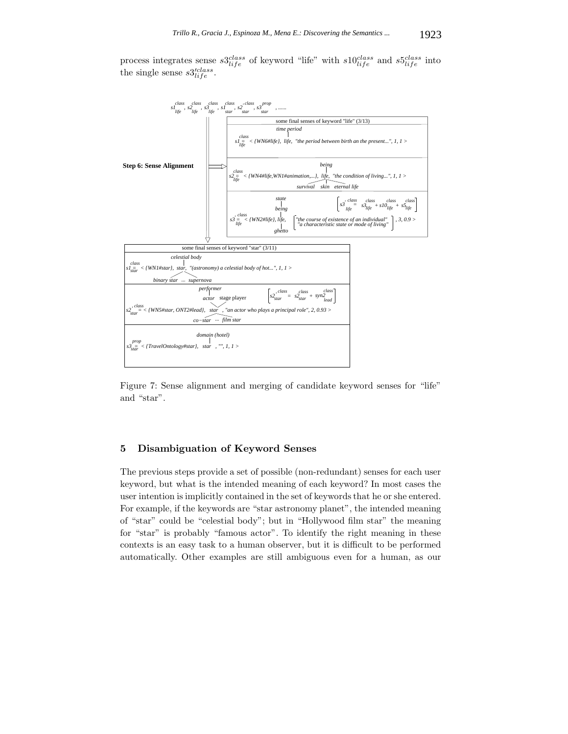process integrates sense  $s3^{class}_{life}$  of keyword "life" with  $s10^{class}_{life}$  and  $s5^{class}_{life}$  into the single sense  $s3'_{life}^{class}$ .



Figure 7: Sense alignment and merging of candidate keyword senses for "life" and "star".

## **5 Disambiguation of Keyword Senses**

The previous steps provide a set of possible (non-redundant) senses for each user keyword, but what is the intended meaning of each keyword? In most cases the user intention is implicitly contained in the set of keywords that he or she entered. For example, if the keywords are "star astronomy planet", the intended meaning of "star" could be "celestial body"; but in "Hollywood film star" the meaning for "star" is probably "famous actor". To identify the right meaning in these contexts is an easy task to a human observer, but it is difficult to be performed automatically. Other examples are still ambiguous even for a human, as our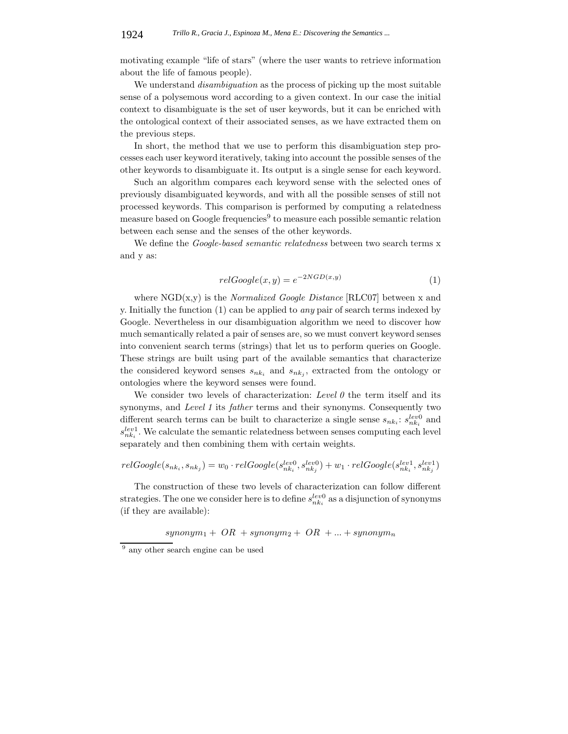motivating example "life of stars" (where the user wants to retrieve information about the life of famous people).

We understand *disambiguation* as the process of picking up the most suitable sense of a polysemous word according to a given context. In our case the initial context to disambiguate is the set of user keywords, but it can be enriched with the ontological context of their associated senses, as we have extracted them on the previous steps.

In short, the method that we use to perform this disambiguation step processes each user keyword iteratively, taking into account the possible senses of the other keywords to disambiguate it. Its output is a single sense for each keyword.

Such an algorithm compares each keyword sense with the selected ones of previously disambiguated keywords, and with all the possible senses of still not processed keywords. This comparison is performed by computing a relatedness measure based on Google frequencies<sup>9</sup> to measure each possible semantic relation between each sense and the senses of the other keywords.

We define the *Google-based semantic relatedness* between two search terms x and y as:

$$
relGoogle(x, y) = e^{-2NGD(x, y)}
$$
\n<sup>(1)</sup>

where NGD(x,y) is the *Normalized Google Distance* [RLC07] between x and y. Initially the function (1) can be applied to *any* pair of search terms indexed by Google. Nevertheless in our disambiguation algorithm we need to discover how much semantically related a pair of senses are, so we must convert keyword senses into convenient search terms (strings) that let us to perform queries on Google. These strings are built using part of the available semantics that characterize the considered keyword senses  $s_{nk_i}$  and  $s_{nk_j}$ , extracted from the ontology or ontologies where the keyword senses were found.

We consider two levels of characterization: *Level 0* the term itself and its synonyms, and *Level 1* its *father* terms and their synonyms. Consequently two different search terms can be built to characterize a single sense  $s_{nk_i}$ :  $s_{nk_i}^{lev0}$  and  $s_{nk_i}^{lev1}$ . We calculate the semantic relatedness between senses computing each level separately and then combining them with certain weights.

$$
relGoogle(s_{nk_i}, s_{nk_j}) = w_0 \cdot relGoogle(s_{nk_i}^{lev0}, s_{nk_j}^{lev0}) + w_1 \cdot relGoogle(s_{nk_i}^{lev1}, s_{nk_j}^{lev1})
$$

The construction of these two levels of characterization can follow different strategies. The one we consider here is to define  $s_{nk_i}^{lev0}$  as a disjunction of synonyms (if they are available):

 $synonym_1 + OR + synonym_2 + OR + ... + synonym_n$ 

<sup>9</sup> any other search engine can be used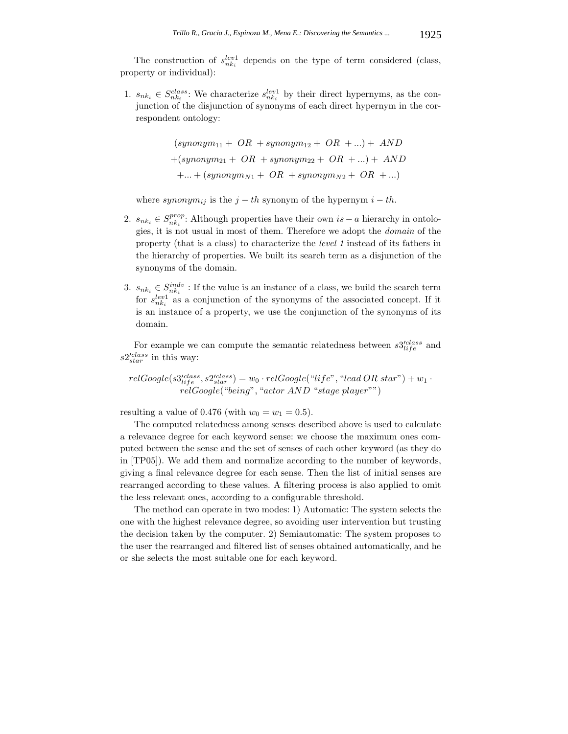The construction of  $s_{nk_i}^{lev1}$  depends on the type of term considered (class, property or individual):

1.  $s_{nk_i} \in S_{nk_i}^{class}$ : We characterize  $s_{nk_i}^{lev1}$  by their direct hypernyms, as the conjunction of the disjunction of synonyms of each direct hypernym in the correspondent ontology:

$$
(synonym11 + OR + synonym12 + OR + ...) + AND
$$

$$
+(synonym21 + OR + synonym22 + OR + ...) + AND
$$

$$
+ ... + (synonymN1 + OR + synonymN2 + OR + ...)
$$

where  $symonym_{ij}$  is the  $j-th$  synonym of the hypernym  $i-th$ .

- 2.  $s_{nk_i} \in S_{nk_i}^{prop}$ : Although properties have their own  $is a$  hierarchy in ontologies, it is not usual in most of them. Therefore we adopt the *domain* of the property (that is a class) to characterize the *level 1* instead of its fathers in the hierarchy of properties. We built its search term as a disjunction of the synonyms of the domain.
- 3.  $s_{nk_i} \in S_{nk_i}^{indv}$ : If the value is an instance of a class, we build the search term for  $s_{nk_i}^{lev1}$  as a conjunction of the synonyms of the associated concept. If it is an instance of a property, we use the conjunction of the synonyms of its domain.

For example we can compute the semantic relatedness between  $s3'_{life}^{class}$  and *s*2-*class star* in this way:

 $relGoogle(s3'_{life}, s2'_{star}) = w_0 \cdot relGoogle("life", "lead \, OR \, star") + w_1 \cdot$ *relGoogle*("*being*"*,* "*actor AND* "*stage player*"")

resulting a value of 0.476 (with  $w_0 = w_1 = 0.5$ ).

The computed relatedness among senses described above is used to calculate a relevance degree for each keyword sense: we choose the maximum ones computed between the sense and the set of senses of each other keyword (as they do in [TP05]). We add them and normalize according to the number of keywords, giving a final relevance degree for each sense. Then the list of initial senses are rearranged according to these values. A filtering process is also applied to omit the less relevant ones, according to a configurable threshold.

The method can operate in two modes: 1) Automatic: The system selects the one with the highest relevance degree, so avoiding user intervention but trusting the decision taken by the computer. 2) Semiautomatic: The system proposes to the user the rearranged and filtered list of senses obtained automatically, and he or she selects the most suitable one for each keyword.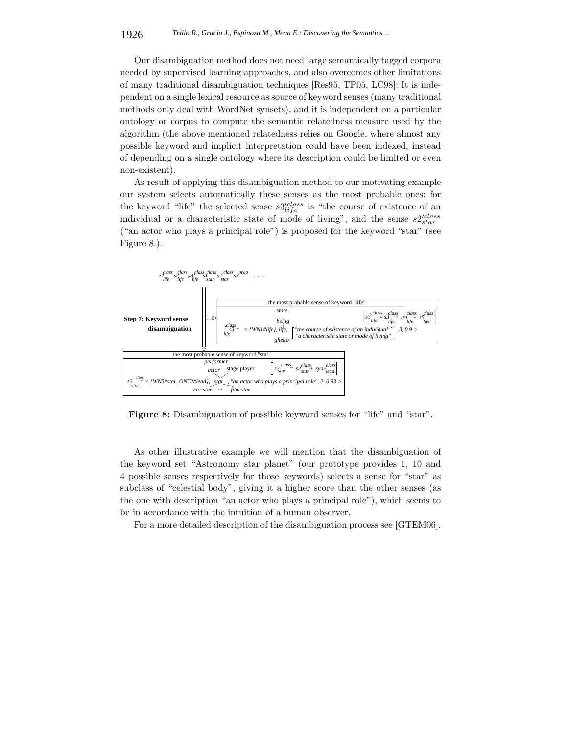Our disambiguation method does not need large semantically tagged corpora needed by supervised learning approaches, and also overcomes other limitations of many traditional disambiguation techniques [Res95, TP05, LC98]: It is independent on a single lexical resource as source of keyword senses (many traditional methods only deal with WordNet synsets), and it is independent on a particular ontology or corpus to compute the semantic relatedness measure used by the algorithm (the above mentioned relatedness relies on Google, where almost any possible keyword and implicit interpretation could have been indexed, instead of depending on a single ontology where its description could be limited or even non-existent).

As result of applying this disambiguation method to our motivating example our system selects automatically these senses as the most probable ones: for the keyword "life" the selected sense  $s3_{life}^{class}$  is "the course of existence of an individual or a characteristic state of mode of living", and the sense  $s2<sub>star</sub>'$ ("an actor who plays a principal role") is proposed for the keyword "star" (see Figure 8.).

![](_page_18_Figure_3.jpeg)

**Figure 8:** Disambiguation of possible keyword senses for "life" and "star".

As other illustrative example we will mention that the disambiguation of the keyword set "Astronomy star planet" (our prototype provides 1, 10 and 4 possible senses respectively for those keywords) selects a sense for "star" as subclass of "celestial body", giving it a higher score than the other senses (as the one with description "an actor who plays a principal role"), which seems to be in accordance with the intuition of a human observer.

For a more detailed description of the disambiguation process see [GTEM06].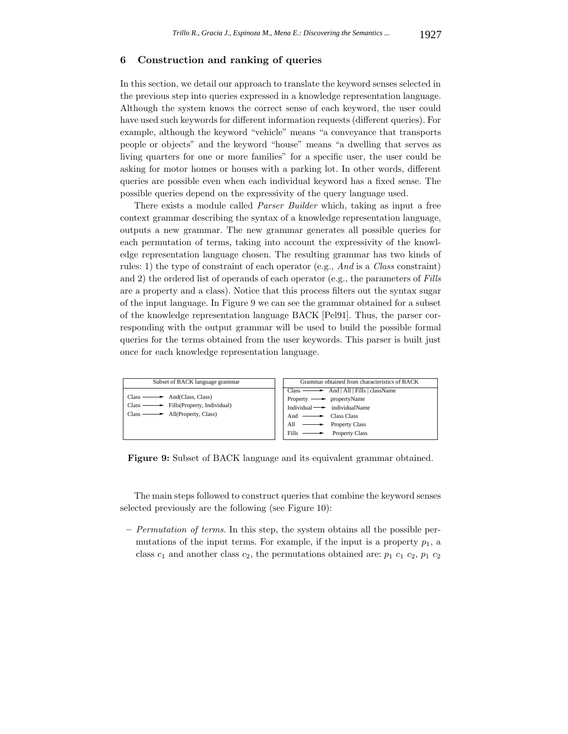### **6 Construction and ranking of queries**

In this section, we detail our approach to translate the keyword senses selected in the previous step into queries expressed in a knowledge representation language. Although the system knows the correct sense of each keyword, the user could have used such keywords for different information requests (different queries). For example, although the keyword "vehicle" means "a conveyance that transports people or objects" and the keyword "house" means "a dwelling that serves as living quarters for one or more families" for a specific user, the user could be asking for motor homes or houses with a parking lot. In other words, different queries are possible even when each individual keyword has a fixed sense. The possible queries depend on the expressivity of the query language used.

There exists a module called *Parser Builder* which, taking as input a free context grammar describing the syntax of a knowledge representation language, outputs a new grammar. The new grammar generates all possible queries for each permutation of terms, taking into account the expressivity of the knowledge representation language chosen. The resulting grammar has two kinds of rules: 1) the type of constraint of each operator (e.g., *And* is a *Class* constraint) and 2) the ordered list of operands of each operator (e.g., the parameters of *Fills* are a property and a class). Notice that this process filters out the syntax sugar of the input language. In Figure 9 we can see the grammar obtained for a subset of the knowledge representation language BACK [Pel91]. Thus, the parser corresponding with the output grammar will be used to build the possible formal queries for the terms obtained from the user keywords. This parser is built just once for each knowledge representation language.

![](_page_19_Figure_4.jpeg)

**Figure 9:** Subset of BACK language and its equivalent grammar obtained.

The main steps followed to construct queries that combine the keyword senses selected previously are the following (see Figure 10):

**–** *Permutation of terms*. In this step, the system obtains all the possible permutations of the input terms. For example, if the input is a property  $p_1$ , a class  $c_1$  and another class  $c_2$ , the permutations obtained are:  $p_1$   $c_1$   $c_2$ ,  $p_1$   $c_2$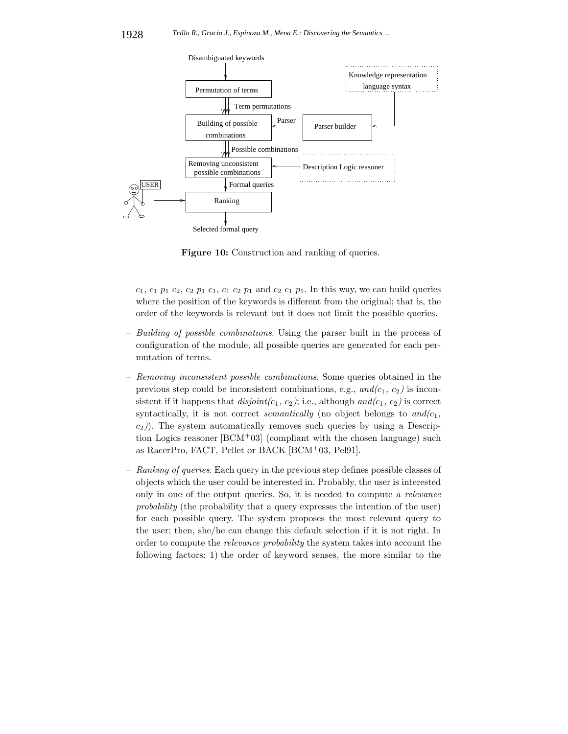![](_page_20_Figure_1.jpeg)

**Figure 10:** Construction and ranking of queries.

 $c_1, c_1, p_1, c_2, c_2, p_1, c_1, c_1, c_2, p_1, c_2, c_1, p_1$ . In this way, we can build queries where the position of the keywords is different from the original; that is, the order of the keywords is relevant but it does not limit the possible queries.

- **–** *Building of possible combinations*. Using the parser built in the process of configuration of the module, all possible queries are generated for each permutation of terms.
- **–** *Removing inconsistent possible combinations*. Some queries obtained in the previous step could be inconsistent combinations, e.g.,  $and/c_1$ ,  $c_2$ ) is inconsistent if it happens that  $disjoint(c_1, c_2)$ ; i.e., although  $and(c_1, c_2)$  is correct syntactically, it is not correct *semantically* (no object belongs to  $and/c_1$ , *c*2*)*). The system automatically removes such queries by using a Description Logics reasoner  $[BCM^+03]$  (compliant with the chosen language) such as RacerPro, FACT, Pellet or BACK [BCM<sup>+</sup>03, Pel91].
- **–** *Ranking of queries*. Each query in the previous step defines possible classes of objects which the user could be interested in. Probably, the user is interested only in one of the output queries. So, it is needed to compute a *relevance probability* (the probability that a query expresses the intention of the user) for each possible query. The system proposes the most relevant query to the user; then, she/he can change this default selection if it is not right. In order to compute the *relevance probability* the system takes into account the following factors: 1) the order of keyword senses, the more similar to the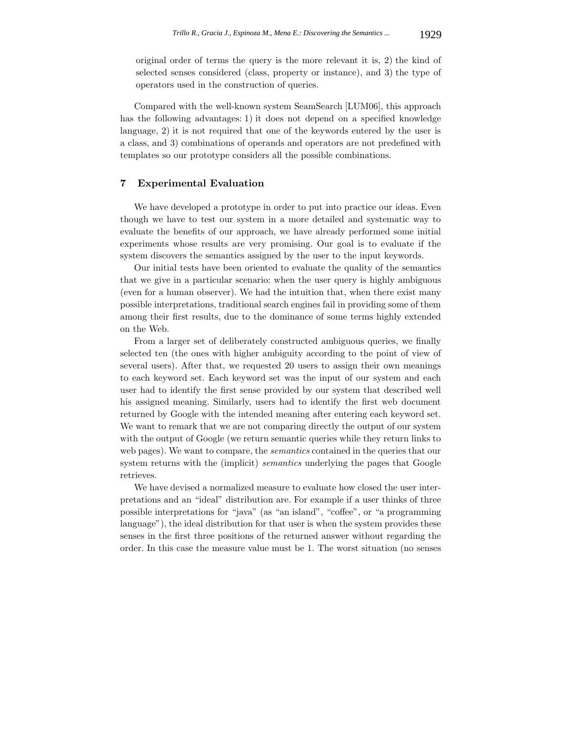original order of terms the query is the more relevant it is, 2) the kind of selected senses considered (class, property or instance), and 3) the type of operators used in the construction of queries.

Compared with the well-known system SeamSearch [LUM06], this approach has the following advantages: 1) it does not depend on a specified knowledge language, 2) it is not required that one of the keywords entered by the user is a class, and 3) combinations of operands and operators are not predefined with templates so our prototype considers all the possible combinations.

## **7 Experimental Evaluation**

We have developed a prototype in order to put into practice our ideas. Even though we have to test our system in a more detailed and systematic way to evaluate the benefits of our approach, we have already performed some initial experiments whose results are very promising. Our goal is to evaluate if the system discovers the semantics assigned by the user to the input keywords.

Our initial tests have been oriented to evaluate the quality of the semantics that we give in a particular scenario: when the user query is highly ambiguous (even for a human observer). We had the intuition that, when there exist many possible interpretations, traditional search engines fail in providing some of them among their first results, due to the dominance of some terms highly extended on the Web.

From a larger set of deliberately constructed ambiguous queries, we finally selected ten (the ones with higher ambiguity according to the point of view of several users). After that, we requested 20 users to assign their own meanings to each keyword set. Each keyword set was the input of our system and each user had to identify the first sense provided by our system that described well his assigned meaning. Similarly, users had to identify the first web document returned by Google with the intended meaning after entering each keyword set. We want to remark that we are not comparing directly the output of our system with the output of Google (we return semantic queries while they return links to web pages). We want to compare, the *semantics* contained in the queries that our system returns with the (implicit) *semantics* underlying the pages that Google retrieves.

We have devised a normalized measure to evaluate how closed the user interpretations and an "ideal" distribution are. For example if a user thinks of three possible interpretations for "java" (as "an island", "coffee", or "a programming language"), the ideal distribution for that user is when the system provides these senses in the first three positions of the returned answer without regarding the order. In this case the measure value must be 1. The worst situation (no senses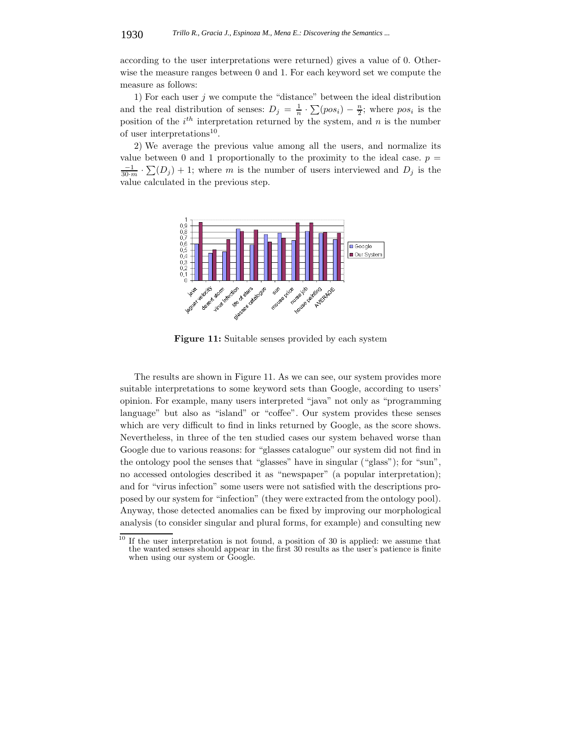according to the user interpretations were returned) gives a value of 0. Otherwise the measure ranges between 0 and 1. For each keyword set we compute the measure as follows:

1) For each user  $j$  we compute the "distance" between the ideal distribution and the real distribution of senses:  $D_j = \frac{1}{n} \cdot \sum (pos_i) - \frac{n}{2}$ ; where  $pos_i$  is the position of the *i th* interpretation returned by the system, and *n* is the number of user interpretations<sup>10</sup>.

2) We average the previous value among all the users, and normalize its value between 0 and 1 proportionally to the proximity to the ideal case.  $p =$  $\frac{-1}{30 \cdot m} \cdot \sum (D_j) + 1$ ; where *m* is the number of users interviewed and  $D_j$  is the value calculated in the previous step.

![](_page_22_Figure_4.jpeg)

**Figure 11:** Suitable senses provided by each system

The results are shown in Figure 11. As we can see, our system provides more suitable interpretations to some keyword sets than Google, according to users' opinion. For example, many users interpreted "java" not only as "programming language" but also as "island" or "coffee". Our system provides these senses which are very difficult to find in links returned by Google, as the score shows. Nevertheless, in three of the ten studied cases our system behaved worse than Google due to various reasons: for "glasses catalogue" our system did not find in the ontology pool the senses that "glasses" have in singular ("glass"); for "sun", no accessed ontologies described it as "newspaper" (a popular interpretation); and for "virus infection" some users were not satisfied with the descriptions proposed by our system for "infection" (they were extracted from the ontology pool). Anyway, those detected anomalies can be fixed by improving our morphological analysis (to consider singular and plural forms, for example) and consulting new

 $\frac{10}{10}$  If the user interpretation is not found, a position of 30 is applied: we assume that the wanted senses should appear in the first 30 results as the user's patience is finite when using our system or Google.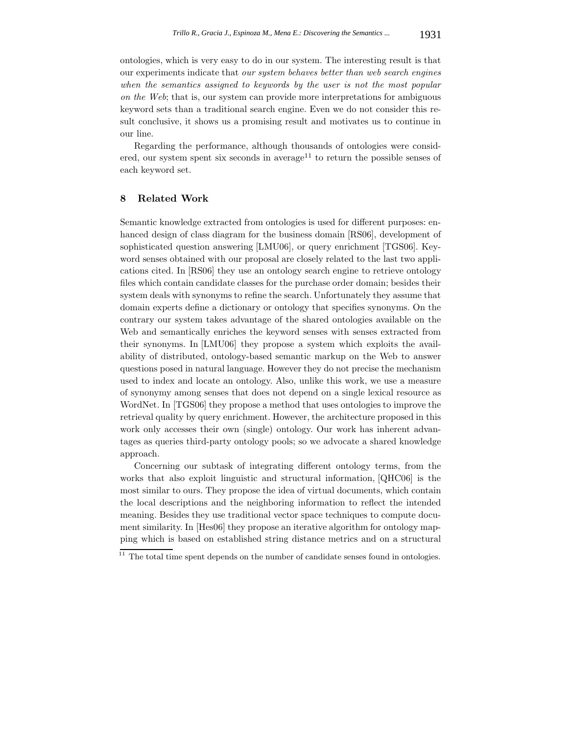ontologies, which is very easy to do in our system. The interesting result is that our experiments indicate that *our system behaves better than web search engines when the semantics assigned to keywords by the user is not the most popular on the Web*; that is, our system can provide more interpretations for ambiguous keyword sets than a traditional search engine. Even we do not consider this result conclusive, it shows us a promising result and motivates us to continue in our line.

Regarding the performance, although thousands of ontologies were considered, our system spent six seconds in average<sup>11</sup> to return the possible senses of each keyword set.

# **8 Related Work**

Semantic knowledge extracted from ontologies is used for different purposes: enhanced design of class diagram for the business domain [RS06], development of sophisticated question answering [LMU06], or query enrichment [TGS06]. Keyword senses obtained with our proposal are closely related to the last two applications cited. In [RS06] they use an ontology search engine to retrieve ontology files which contain candidate classes for the purchase order domain; besides their system deals with synonyms to refine the search. Unfortunately they assume that domain experts define a dictionary or ontology that specifies synonyms. On the contrary our system takes advantage of the shared ontologies available on the Web and semantically enriches the keyword senses with senses extracted from their synonyms. In [LMU06] they propose a system which exploits the availability of distributed, ontology-based semantic markup on the Web to answer questions posed in natural language. However they do not precise the mechanism used to index and locate an ontology. Also, unlike this work, we use a measure of synonymy among senses that does not depend on a single lexical resource as WordNet. In [TGS06] they propose a method that uses ontologies to improve the retrieval quality by query enrichment. However, the architecture proposed in this work only accesses their own (single) ontology. Our work has inherent advantages as queries third-party ontology pools; so we advocate a shared knowledge approach.

Concerning our subtask of integrating different ontology terms, from the works that also exploit linguistic and structural information, [QHC06] is the most similar to ours. They propose the idea of virtual documents, which contain the local descriptions and the neighboring information to reflect the intended meaning. Besides they use traditional vector space techniques to compute document similarity. In [Hes06] they propose an iterative algorithm for ontology mapping which is based on established string distance metrics and on a structural

 $11$  The total time spent depends on the number of candidate senses found in ontologies.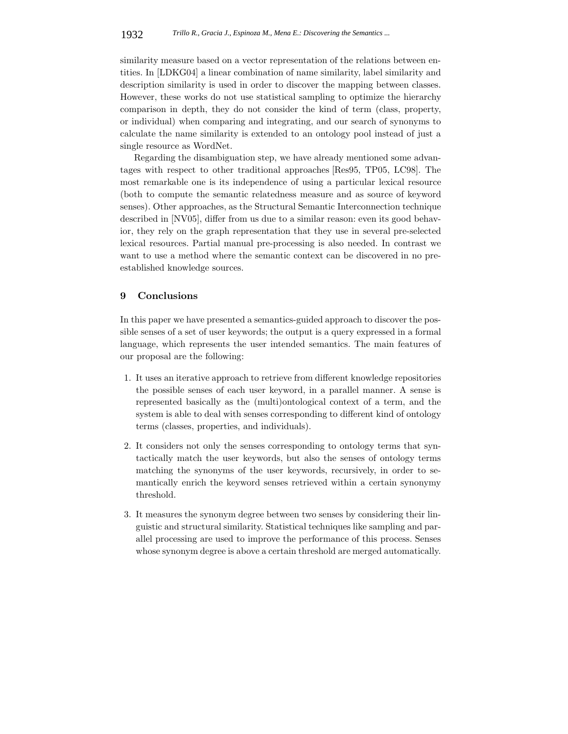similarity measure based on a vector representation of the relations between entities. In [LDKG04] a linear combination of name similarity, label similarity and description similarity is used in order to discover the mapping between classes. However, these works do not use statistical sampling to optimize the hierarchy comparison in depth, they do not consider the kind of term (class, property, or individual) when comparing and integrating, and our search of synonyms to calculate the name similarity is extended to an ontology pool instead of just a single resource as WordNet.

Regarding the disambiguation step, we have already mentioned some advantages with respect to other traditional approaches [Res95, TP05, LC98]. The most remarkable one is its independence of using a particular lexical resource (both to compute the semantic relatedness measure and as source of keyword senses). Other approaches, as the Structural Semantic Interconnection technique described in [NV05], differ from us due to a similar reason: even its good behavior, they rely on the graph representation that they use in several pre-selected lexical resources. Partial manual pre-processing is also needed. In contrast we want to use a method where the semantic context can be discovered in no preestablished knowledge sources.

## **9 Conclusions**

In this paper we have presented a semantics-guided approach to discover the possible senses of a set of user keywords; the output is a query expressed in a formal language, which represents the user intended semantics. The main features of our proposal are the following:

- 1. It uses an iterative approach to retrieve from different knowledge repositories the possible senses of each user keyword, in a parallel manner. A sense is represented basically as the (multi)ontological context of a term, and the system is able to deal with senses corresponding to different kind of ontology terms (classes, properties, and individuals).
- 2. It considers not only the senses corresponding to ontology terms that syntactically match the user keywords, but also the senses of ontology terms matching the synonyms of the user keywords, recursively, in order to semantically enrich the keyword senses retrieved within a certain synonymy threshold.
- 3. It measures the synonym degree between two senses by considering their linguistic and structural similarity. Statistical techniques like sampling and parallel processing are used to improve the performance of this process. Senses whose synonym degree is above a certain threshold are merged automatically.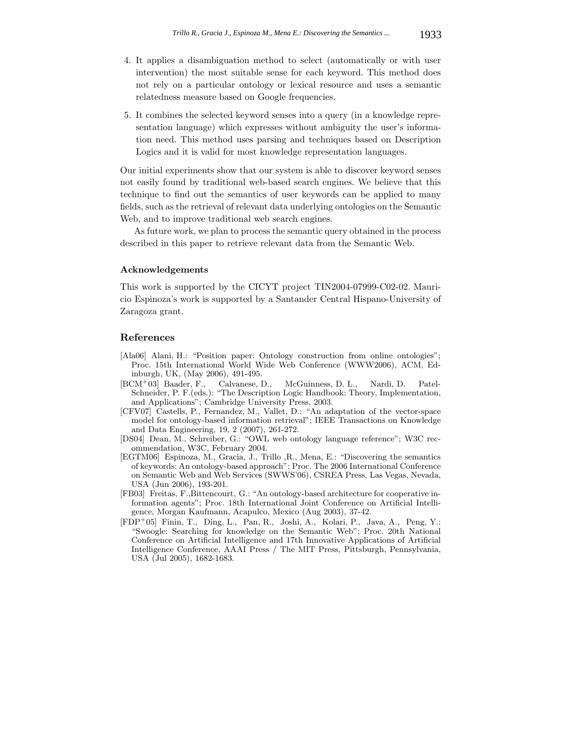- 4. It applies a disambiguation method to select (automatically or with user intervention) the most suitable sense for each keyword. This method does not rely on a particular ontology or lexical resource and uses a semantic relatedness measure based on Google frequencies.
- 5. It combines the selected keyword senses into a query (in a knowledge representation language) which expresses without ambiguity the user's information need. This method uses parsing and techniques based on Description Logics and it is valid for most knowledge representation languages.

Our initial experiments show that our system is able to discover keyword senses not easily found by traditional web-based search engines. We believe that this technique to find out the semantics of user keywords can be applied to many fields, such as the retrieval of relevant data underlying ontologies on the Semantic Web, and to improve traditional web search engines.

As future work, we plan to process the semantic query obtained in the process described in this paper to retrieve relevant data from the Semantic Web.

### **Acknowledgements**

This work is supported by the CICYT project TIN2004-07999-C02-02. Mauricio Espinoza's work is supported by a Santander Central Hispano-University of Zaragoza grant.

#### **References**

- [Ala06] Alani, H.: "Position paper: Ontology construction from online ontologies"; Proc. 15th International World Wide Web Conference (WWW2006), ACM, Edinburgh, UK, (May 2006), 491-495.
- [BCM<sup>+</sup>03] Baader, F., Calvanese, D., McGuinness, D. L., Nardi, D. Patel-Schneider, P. F.(eds.): "The Description Logic Handbook: Theory, Implementation, and Applications"; Cambridge University Press, 2003.
- [CFV07] Castells, P., Fernandez, M., Vallet, D.: "An adaptation of the vector-space model for ontology-based information retrieval"; IEEE Transactions on Knowledge and Data Engineering, 19, 2 (2007), 261-272.
- [DS04] Dean, M., Schreiber, G.: "OWL web ontology language reference"; W3C recommendation, W3C, February 2004.
- [EGTM06] Espinoza, M., Gracia, J., Trillo ,R., Mena, E.: "Discovering the semantics of keywords: An ontology-based approach"; Proc. The 2006 International Conference on Semantic Web and Web Services (SWWS'06), CSREA Press, Las Vegas, Nevada, USA (Jun 2006), 193-201.
- [FB03] Freitas, F.,Bittencourt, G.: "An ontology-based architecture for cooperative information agents"; Proc. 18th International Joint Conference on Artificial Intelligence, Morgan Kaufmann, Acapulco, Mexico (Aug 2003), 37-42.
- [FDP<sup>+</sup>05] Finin, T., Ding, L., Pan, R., Joshi, A., Kolari, P., Java, A., Peng, Y.: "Swoogle: Searching for knowledge on the Semantic Web"; Proc. 20th National Conference on Artificial Intelligence and 17th Innovative Applications of Artificial Intelligence Conference, AAAI Press / The MIT Press, Pittsburgh, Pennsylvania, USA (Jul 2005), 1682-1683.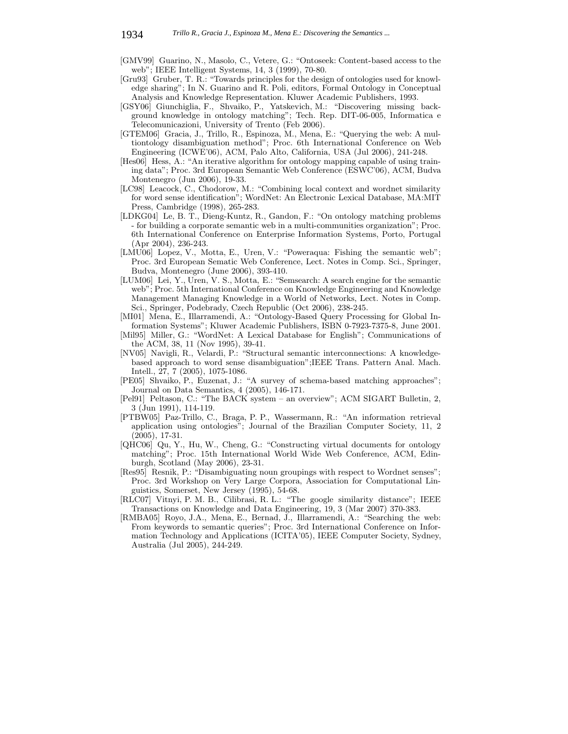- [GMV99] Guarino, N., Masolo, C., Vetere, G.: "Ontoseek: Content-based access to the web"; IEEE Intelligent Systems, 14, 3 (1999), 70-80.
- [Gru93] Gruber, T. R.: "Towards principles for the design of ontologies used for knowledge sharing"; In N. Guarino and R. Poli, editors, Formal Ontology in Conceptual Analysis and Knowledge Representation. Kluwer Academic Publishers, 1993.
- [GSY06] Giunchiglia, F., Shvaiko, P., Yatskevich, M.: "Discovering missing background knowledge in ontology matching"; Tech. Rep. DIT-06-005, Informatica e Telecomunicazioni, University of Trento (Feb 2006).
- [GTEM06] Gracia, J., Trillo, R., Espinoza, M., Mena, E.: "Querying the web: A multiontology disambiguation method"; Proc. 6th International Conference on Web Engineering (ICWE'06), ACM, Palo Alto, California, USA (Jul 2006), 241-248.
- [Hes06] Hess, A.: "An iterative algorithm for ontology mapping capable of using training data"; Proc. 3rd European Semantic Web Conference (ESWC'06), ACM, Budva Montenegro (Jun 2006), 19-33.
- [LC98] Leacock, C., Chodorow, M.: "Combining local context and wordnet similarity for word sense identification"; WordNet: An Electronic Lexical Database, MA:MIT Press, Cambridge (1998), 265-283.
- [LDKG04] Le, B. T., Dieng-Kuntz, R., Gandon, F.: "On ontology matching problems - for building a corporate semantic web in a multi-communities organization"; Proc. 6th International Conference on Enterprise Information Systems, Porto, Portugal (Apr 2004), 236-243.
- [LMU06] Lopez, V., Motta, E., Uren, V.: "Poweraqua: Fishing the semantic web"; Proc. 3rd European Sematic Web Conference, Lect. Notes in Comp. Sci., Springer, Budva, Montenegro (June 2006), 393-410.
- [LUM06] Lei, Y., Uren, V. S., Motta, E.: "Semsearch: A search engine for the semantic web"; Proc. 5th International Conference on Knowledge Engineering and Knowledge Management Managing Knowledge in a World of Networks, Lect. Notes in Comp. Sci., Springer, Podebrady, Czech Republic (Oct 2006), 238-245.
- [MI01] Mena, E., Illarramendi, A.: "Ontology-Based Query Processing for Global Information Systems"; Kluwer Academic Publishers, ISBN 0-7923-7375-8, June 2001.
- [Mil95] Miller, G.: "WordNet: A Lexical Database for English"; Communications of the ACM, 38, 11 (Nov 1995), 39-41.
- [NV05] Navigli, R., Velardi, P.: "Structural semantic interconnections: A knowledgebased approach to word sense disambiguation";IEEE Trans. Pattern Anal. Mach. Intell., 27, 7 (2005), 1075-1086.
- [PE05] Shvaiko, P., Euzenat, J.: "A survey of schema-based matching approaches"; Journal on Data Semantics, 4 (2005), 146-171.
- [Pel91] Peltason, C.: "The BACK system an overview"; ACM SIGART Bulletin, 2, 3 (Jun 1991), 114-119.
- [PTBW05] Paz-Trillo, C., Braga, P. P., Wassermann, R.: "An information retrieval application using ontologies"; Journal of the Brazilian Computer Society, 11, 2 (2005), 17-31.
- [QHC06] Qu, Y., Hu, W., Cheng, G.: "Constructing virtual documents for ontology matching"; Proc. 15th International World Wide Web Conference, ACM, Edinburgh, Scotland (May 2006), 23-31.
- [Res95] Resnik, P.: "Disambiguating noun groupings with respect to Wordnet senses"; Proc. 3rd Workshop on Very Large Corpora, Association for Computational Linguistics, Somerset, New Jersey (1995), 54-68.
- [RLC07] Vitnyi, P. M. B., Cilibrasi, R. L.: "The google similarity distance"; IEEE Transactions on Knowledge and Data Engineering, 19, 3 (Mar 2007) 370-383.
- [RMBA05] Royo, J.A., Mena, E., Bernad, J., Illarramendi, A.: "Searching the web: From keywords to semantic queries"; Proc. 3rd International Conference on Information Technology and Applications (ICITA'05), IEEE Computer Society, Sydney, Australia (Jul 2005), 244-249.